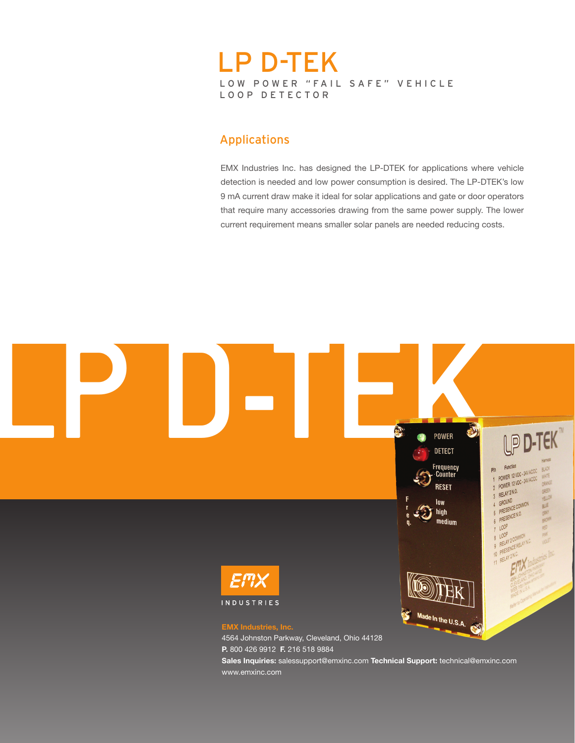# LOW POWER "FAIL SAFE" VEHICLE LOOP DETECTOR LP D-TEK

## Applications

EMX Industries Inc. has designed the LP-DTEK for applications where vehicle detection is needed and low power consumption is desired. The LP-DTEK's low 9 mA current draw make it ideal for solar applications and gate or door operators that require many accessories drawing from the same power supply. The lower current requirement means smaller solar panels are needed reducing costs.



www.emxinc.com